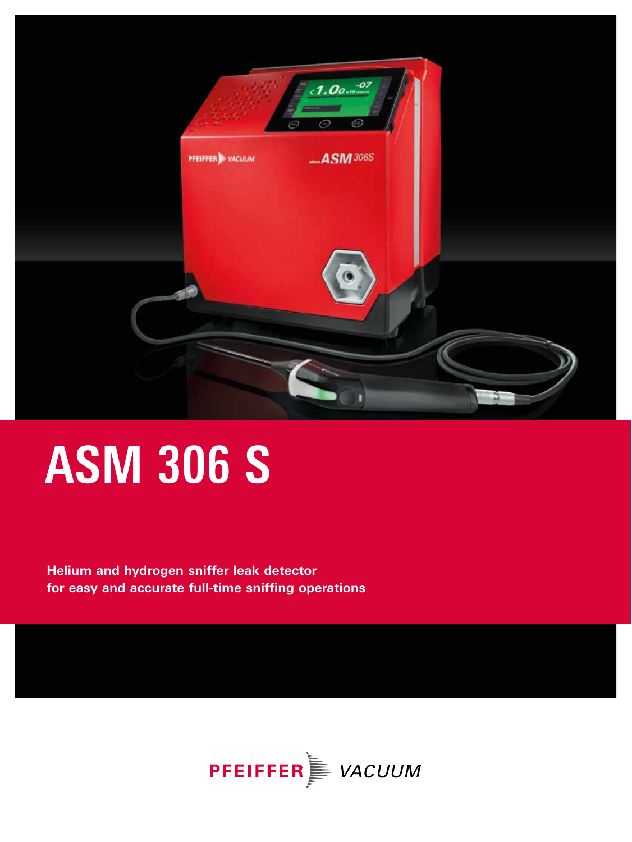

**Helium and hydrogen sniffer leak detector for easy and accurate full-time sniffing operations** 

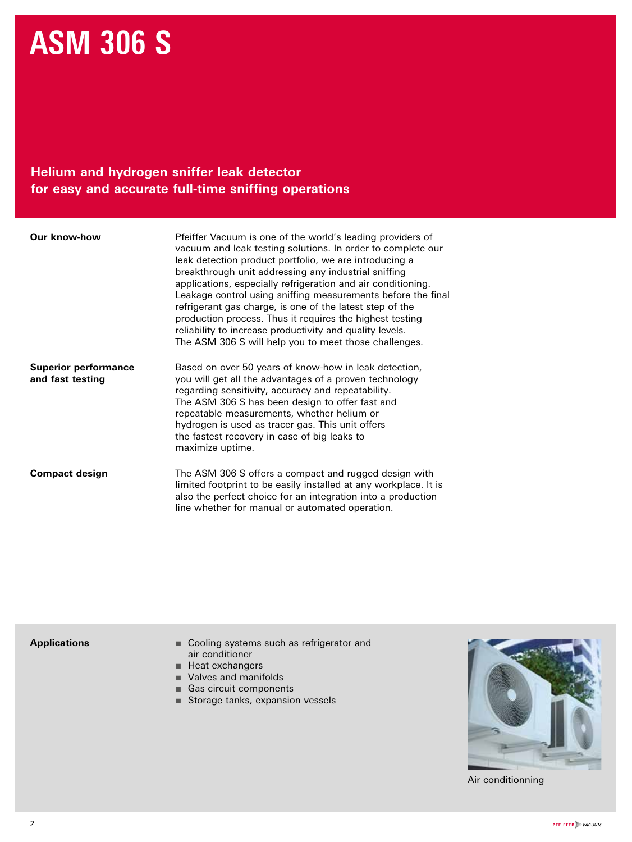#### **Helium and hydrogen sniffer leak detector for easy and accurate full-time sniffing operations**

| <b>Our know-how</b>                             | Pfeiffer Vacuum is one of the world's leading providers of<br>vacuum and leak testing solutions. In order to complete our<br>leak detection product portfolio, we are introducing a<br>breakthrough unit addressing any industrial sniffing<br>applications, especially refrigeration and air conditioning.<br>Leakage control using sniffing measurements before the final<br>refrigerant gas charge, is one of the latest step of the<br>production process. Thus it requires the highest testing<br>reliability to increase productivity and quality levels.<br>The ASM 306 S will help you to meet those challenges. |
|-------------------------------------------------|--------------------------------------------------------------------------------------------------------------------------------------------------------------------------------------------------------------------------------------------------------------------------------------------------------------------------------------------------------------------------------------------------------------------------------------------------------------------------------------------------------------------------------------------------------------------------------------------------------------------------|
| <b>Superior performance</b><br>and fast testing | Based on over 50 years of know-how in leak detection,<br>you will get all the advantages of a proven technology<br>regarding sensitivity, accuracy and repeatability.<br>The ASM 306 S has been design to offer fast and<br>repeatable measurements, whether helium or<br>hydrogen is used as tracer gas. This unit offers<br>the fastest recovery in case of big leaks to<br>maximize uptime.                                                                                                                                                                                                                           |
| <b>Compact design</b>                           | The ASM 306 S offers a compact and rugged design with<br>limited footprint to be easily installed at any workplace. It is<br>also the perfect choice for an integration into a production<br>line whether for manual or automated operation.                                                                                                                                                                                                                                                                                                                                                                             |

#### **Applications**

- Cooling systems such as refrigerator and air conditioner
- Heat exchangers
- Valves and manifolds
- Gas circuit components
- Storage tanks, expansion vessels



Air conditionning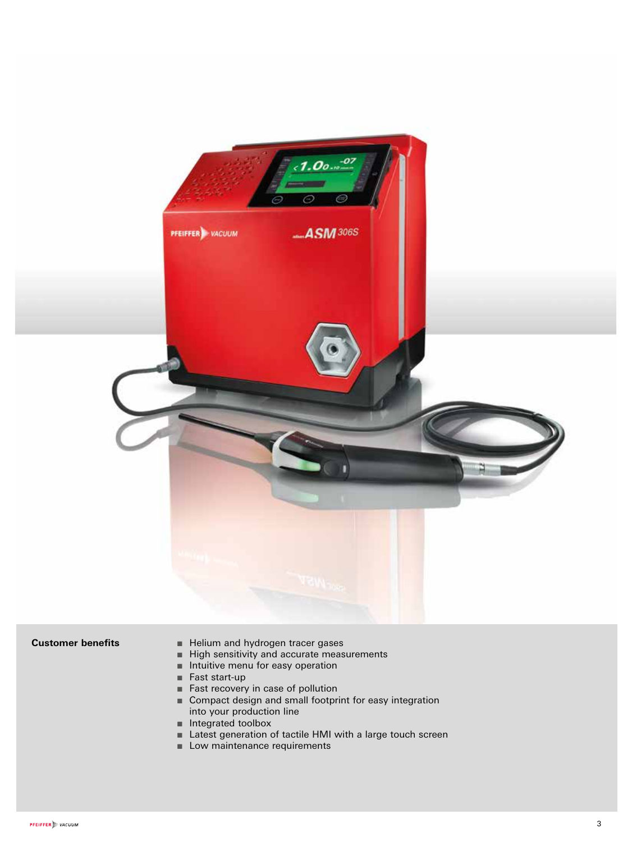

- Customer benefits Helium and hydrogen tracer gases
	- High sensitivity and accurate measurements
	- Intuitive menu for easy operation
	- Fast start-up
	- Fast recovery in case of pollution
	- Compact design and small footprint for easy integration into your production line
	- Integrated toolbox
	- Latest generation of tactile HMI with a large touch screen
	- Low maintenance requirements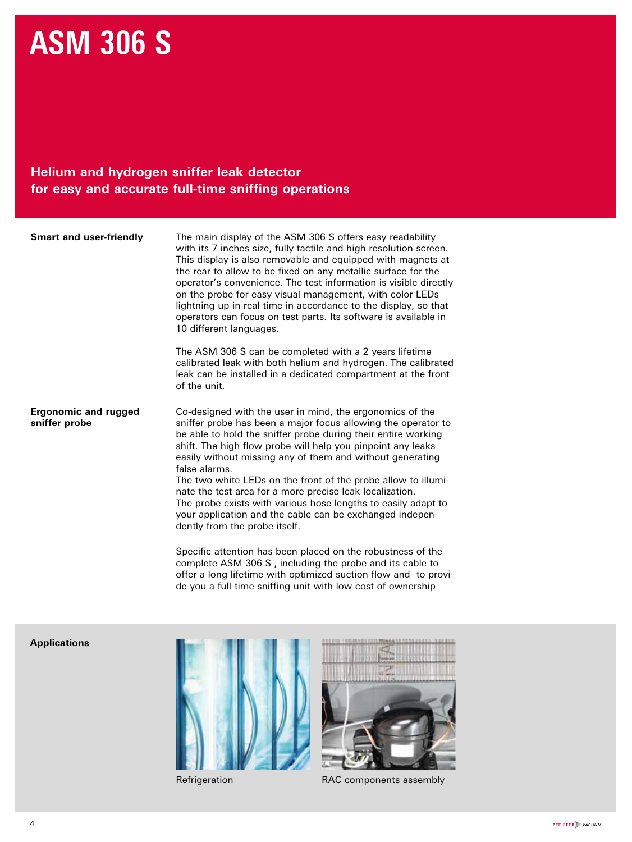#### **Helium and hydrogen sniffer leak detector for easy and accurate full-time sniffing operations**

| <b>Smart and user-friendly</b>               | The main display of the ASM 306 S offers easy readability<br>with its 7 inches size, fully tactile and high resolution screen.<br>This display is also removable and equipped with magnets at<br>the rear to allow to be fixed on any metallic surface for the<br>operator's convenience. The test information is visible directly<br>on the probe for easy visual management, with color LEDs<br>lightning up in real time in accordance to the display, so that<br>operators can focus on test parts. Its software is available in<br>10 different languages.                                                                                                                                   |
|----------------------------------------------|---------------------------------------------------------------------------------------------------------------------------------------------------------------------------------------------------------------------------------------------------------------------------------------------------------------------------------------------------------------------------------------------------------------------------------------------------------------------------------------------------------------------------------------------------------------------------------------------------------------------------------------------------------------------------------------------------|
|                                              | The ASM 306 S can be completed with a 2 years lifetime<br>calibrated leak with both helium and hydrogen. The calibrated<br>leak can be installed in a dedicated compartment at the front<br>of the unit.                                                                                                                                                                                                                                                                                                                                                                                                                                                                                          |
| <b>Ergonomic and rugged</b><br>sniffer probe | Co-designed with the user in mind, the ergonomics of the<br>sniffer probe has been a major focus allowing the operator to<br>be able to hold the sniffer probe during their entire working<br>shift. The high flow probe will help you pinpoint any leaks<br>easily without missing any of them and without generating<br>false alarms.<br>The two white LEDs on the front of the probe allow to illumi-<br>nate the test area for a more precise leak localization.<br>The probe exists with various hose lengths to easily adapt to<br>your application and the cable can be exchanged indepen-<br>dently from the probe itself.<br>Specific attention has been placed on the robustness of the |

complete ASM 306 S , including the probe and its cable to offer a long lifetime with optimized suction flow and to provide you a full-time sniffing unit with low cost of ownership

#### **Applications**





Refrigeration RAC components assembly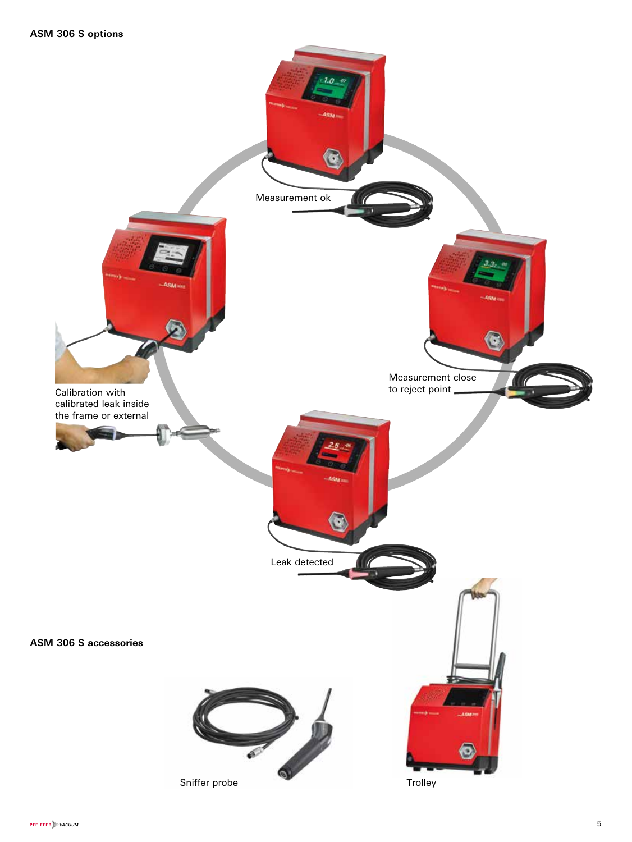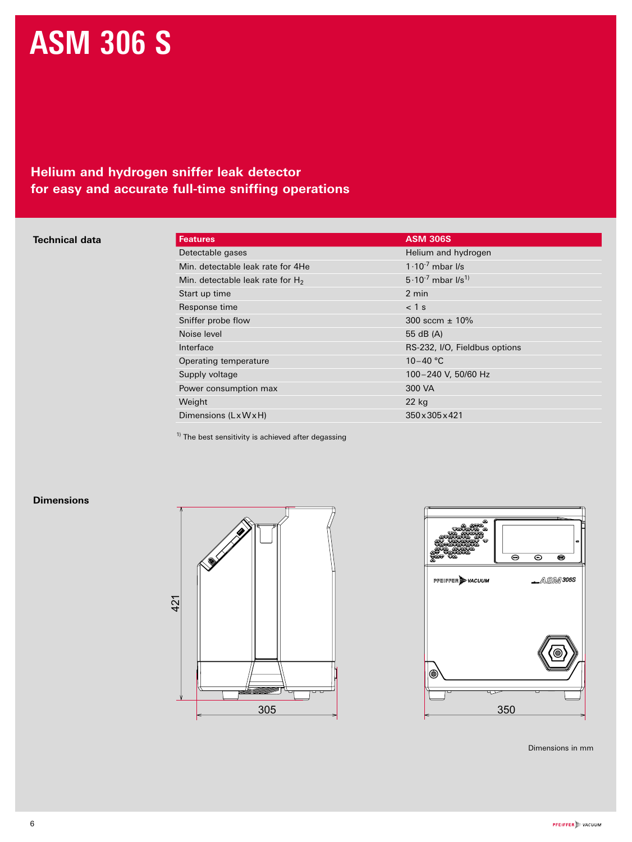#### **Helium and hydrogen sniffer leak detector for easy and accurate full-time sniffing operations**

#### **Technical data**

| <b>Features</b>                     | <b>ASM 306S</b>               |
|-------------------------------------|-------------------------------|
| Detectable gases                    | Helium and hydrogen           |
| Min. detectable leak rate for 4He   | $1.10^{-7}$ mbar I/s          |
| Min. detectable leak rate for $H_2$ | $5.10^{-7}$ mbar $1/s^{1}$    |
| Start up time                       | 2 min                         |
| Response time                       | $<$ 1 s                       |
| Sniffer probe flow                  | 300 sccm $\pm$ 10%            |
| Noise level                         | 55 dB (A)                     |
| Interface                           | RS-232, I/O, Fieldbus options |
| Operating temperature               | $10 - 40$ °C                  |
| Supply voltage                      | 100-240 V, 50/60 Hz           |
| Power consumption max               | 300 VA                        |
| Weight                              | 22 kg                         |
| Dimensions (LxWxH)                  | 350 x 305 x 421               |

 $<sup>1)</sup>$  The best sensitivity is achieved after degassing</sup>

#### **Dimensions**





Dimensions in mm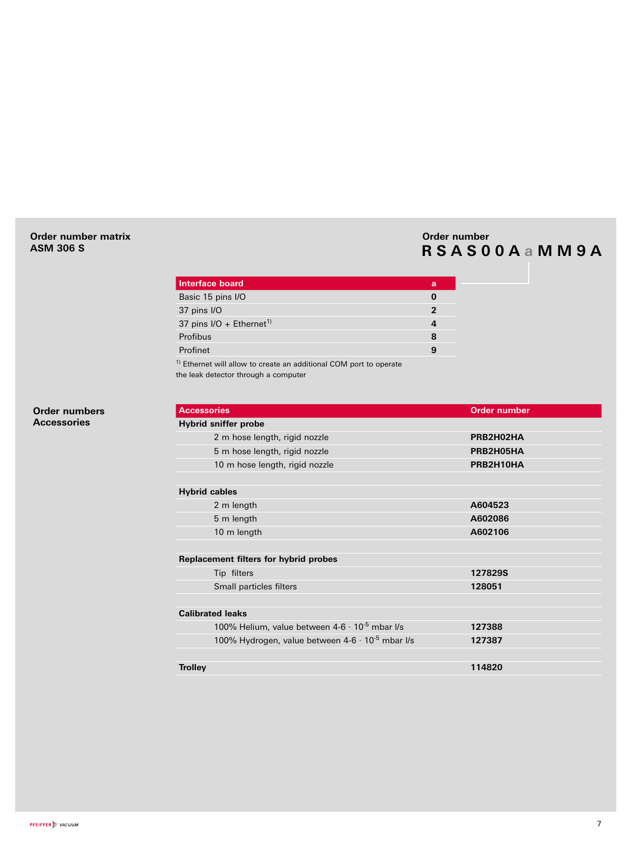#### **Order number matrix ASM 306 S**

#### **Order number RSAS00A a MM9A**

| Interface board                                                               | a        |
|-------------------------------------------------------------------------------|----------|
| Basic 15 pins I/O                                                             | $\bf{0}$ |
| 37 pins I/O                                                                   | 2        |
| 37 pins $I/O + Ethernet^{1}$                                                  |          |
| Profibus                                                                      | 8        |
| Profinet                                                                      | 9        |
| <sup>1)</sup> Ethernet will allow to create an additional COM port to operate |          |

the leak detector through a computer

**Accessories Order number Hybrid sniffer probe** 2 m hose length, rigid nozzle **PRB2H02HA** 5 m hose length, rigid nozzle **PRB2H05HA** 10 m hose length, rigid nozzle **PRB2H10HA Hybrid cables**  2 m length **A604523** 5 m length **A602086** 10 m length **A602106 Replacement filters for hybrid probes** Tip filters **127829S** Small particles filters **128051 Calibrated leaks** 100% Helium, value between 4-6 · 10-5 mbar l/s **127388** 100% Hydrogen, value between 4-6 · 10-5 mbar l/s **127387 Trolley 114820**

**Order numbers Accessories**